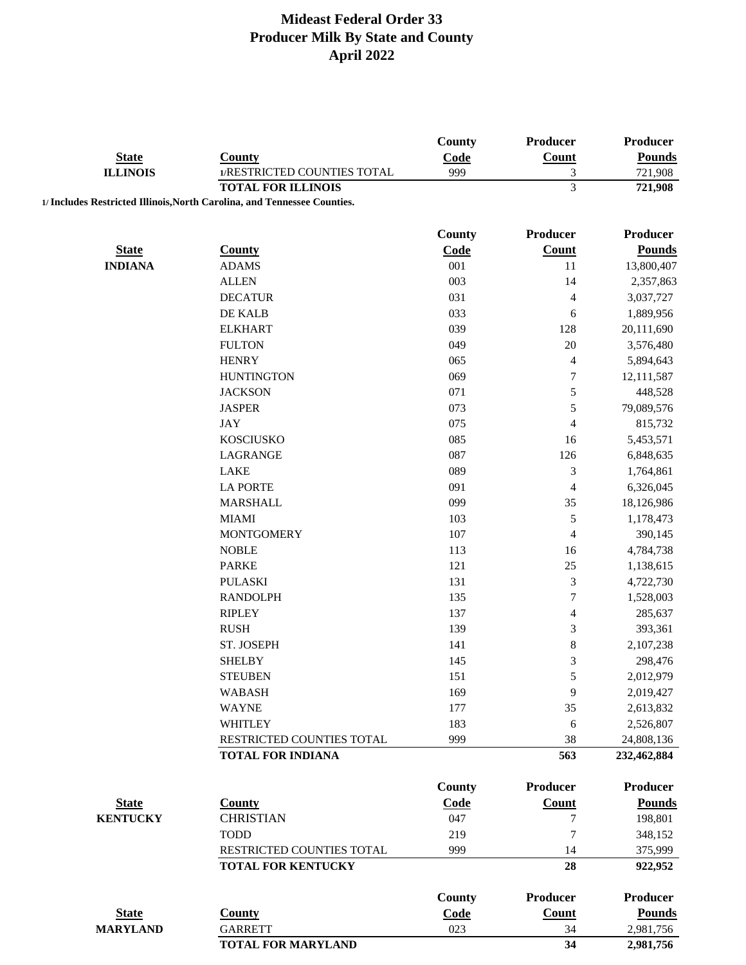|                 |                                                                          | County        | Producer         | Producer           |
|-----------------|--------------------------------------------------------------------------|---------------|------------------|--------------------|
| <b>State</b>    | <b>County</b>                                                            | Code          | Count            | <b>Pounds</b>      |
| <b>ILLINOIS</b> | 1/RESTRICTED COUNTIES TOTAL                                              | 999           | 3                | 721,908            |
|                 | <b>TOTAL FOR ILLINOIS</b>                                                |               | $\overline{3}$   | 721,908            |
|                 | 1/ Includes Restricted Illinois, North Carolina, and Tennessee Counties. |               |                  |                    |
|                 |                                                                          |               |                  |                    |
|                 |                                                                          | <b>County</b> | <b>Producer</b>  | Producer           |
| <b>State</b>    | <b>County</b>                                                            | Code          | <b>Count</b>     | <b>Pounds</b>      |
| <b>INDIANA</b>  | <b>ADAMS</b>                                                             | 001           | 11               | 13,800,407         |
|                 | <b>ALLEN</b>                                                             | 003           | 14               | 2,357,863          |
|                 | <b>DECATUR</b>                                                           | 031           | 4                | 3,037,727          |
|                 | DE KALB                                                                  | 033           | 6                | 1,889,956          |
|                 | <b>ELKHART</b>                                                           | 039           | 128              | 20,111,690         |
|                 | <b>FULTON</b>                                                            | 049           | 20               | 3,576,480          |
|                 | <b>HENRY</b>                                                             | 065           | $\overline{4}$   | 5,894,643          |
|                 | <b>HUNTINGTON</b>                                                        | 069           | $\boldsymbol{7}$ | 12,111,587         |
|                 | <b>JACKSON</b>                                                           | 071           | 5                | 448,528            |
|                 | <b>JASPER</b>                                                            | 073           | $\sqrt{5}$       | 79,089,576         |
|                 | <b>JAY</b>                                                               | 075           | $\overline{4}$   | 815,732            |
|                 | <b>KOSCIUSKO</b>                                                         | 085           | 16               | 5,453,571          |
|                 | LAGRANGE                                                                 | 087           | 126              | 6,848,635          |
|                 | <b>LAKE</b>                                                              | 089           | $\mathfrak{Z}$   | 1,764,861          |
|                 | <b>LA PORTE</b>                                                          | 091           | 4                | 6,326,045          |
|                 | <b>MARSHALL</b>                                                          | 099           | 35               | 18,126,986         |
|                 | <b>MIAMI</b>                                                             | 103           | 5                | 1,178,473          |
|                 | <b>MONTGOMERY</b>                                                        | 107           | $\overline{4}$   | 390,145            |
|                 | <b>NOBLE</b>                                                             | 113           | 16               | 4,784,738          |
|                 | <b>PARKE</b>                                                             | 121           | 25               | 1,138,615          |
|                 | <b>PULASKI</b>                                                           | 131           | $\mathfrak{Z}$   | 4,722,730          |
|                 | <b>RANDOLPH</b>                                                          | 135           | $\boldsymbol{7}$ | 1,528,003          |
|                 | <b>RIPLEY</b>                                                            | 137           | $\overline{4}$   | 285,637            |
|                 | <b>RUSH</b>                                                              | 139           | $\mathfrak{Z}$   | 393,361            |
|                 | ST. JOSEPH                                                               | 141           | $\,$ $\,$        | 2,107,238          |
|                 | <b>SHELBY</b>                                                            | 145           | $\mathfrak{Z}$   | 298,476            |
|                 | <b>STEUBEN</b>                                                           | 151           | 5                | 2,012,979          |
|                 | <b>WABASH</b>                                                            | 169           | 9                | 2,019,427          |
|                 | <b>WAYNE</b>                                                             | 177           | 35               | 2,613,832          |
|                 | <b>WHITLEY</b>                                                           | 183           | 6                | 2,526,807          |
|                 | RESTRICTED COUNTIES TOTAL                                                | 999           | 38               | 24,808,136         |
|                 | <b>TOTAL FOR INDIANA</b>                                                 |               | 563              | 232,462,884        |
|                 |                                                                          | County        | <b>Producer</b>  | <b>Producer</b>    |
| <b>State</b>    | <b>County</b>                                                            | Code          | <b>Count</b>     | <b>Pounds</b>      |
| <b>KENTUCKY</b> | <b>CHRISTIAN</b>                                                         | 047           | 7                | 198,801            |
|                 | <b>TODD</b>                                                              | 219           | $\overline{7}$   |                    |
|                 | RESTRICTED COUNTIES TOTAL                                                | 999           | 14               | 348,152<br>375,999 |
|                 | <b>TOTAL FOR KENTUCKY</b>                                                |               | 28               | 922,952            |
|                 |                                                                          |               |                  |                    |
|                 |                                                                          | <b>County</b> | <b>Producer</b>  | <b>Producer</b>    |
| <b>State</b>    | <b>County</b>                                                            | Code          | Count            | <b>Pounds</b>      |
| <b>MARYLAND</b> | <b>GARRETT</b>                                                           | 023           | 34               | 2,981,756          |
|                 | <b>TOTAL FOR MARYLAND</b>                                                |               | 34               | 2,981,756          |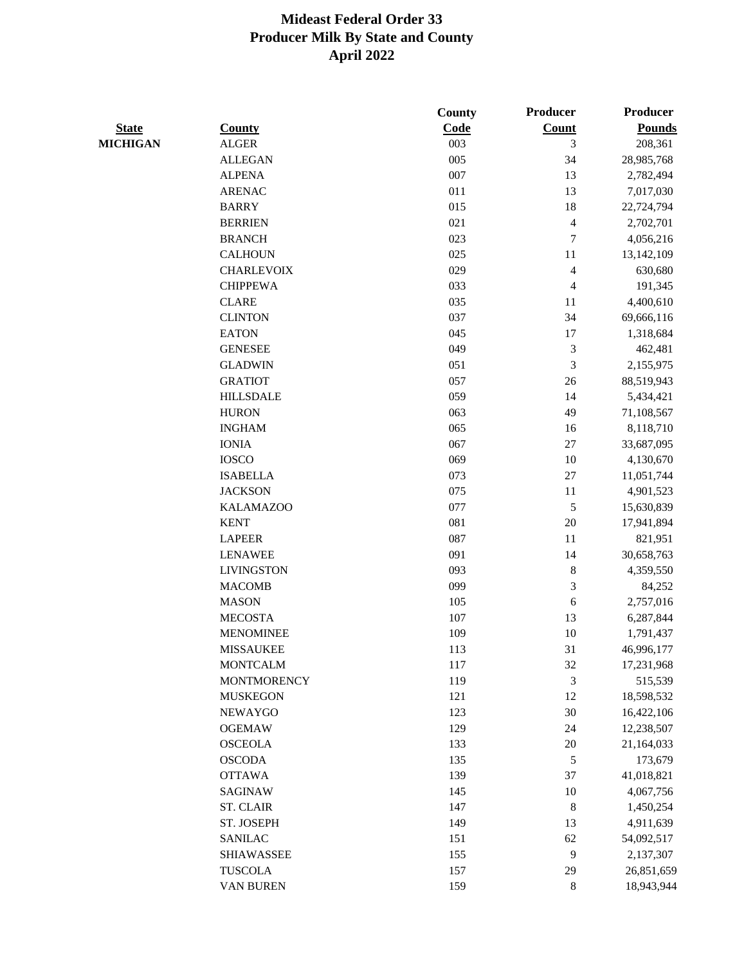|                 |                    | County | Producer                 | Producer      |
|-----------------|--------------------|--------|--------------------------|---------------|
| <b>State</b>    | <b>County</b>      | Code   | Count                    | <b>Pounds</b> |
| <b>MICHIGAN</b> | <b>ALGER</b>       | 003    | 3                        | 208,361       |
|                 | <b>ALLEGAN</b>     | 005    | 34                       | 28,985,768    |
|                 | <b>ALPENA</b>      | 007    | 13                       | 2,782,494     |
|                 | <b>ARENAC</b>      | 011    | 13                       | 7,017,030     |
|                 | <b>BARRY</b>       | 015    | 18                       | 22,724,794    |
|                 | <b>BERRIEN</b>     | 021    | $\overline{\mathcal{L}}$ | 2,702,701     |
|                 | <b>BRANCH</b>      | 023    | 7                        | 4,056,216     |
|                 | <b>CALHOUN</b>     | 025    | 11                       | 13,142,109    |
|                 | <b>CHARLEVOIX</b>  | 029    | $\overline{\mathcal{L}}$ | 630,680       |
|                 | <b>CHIPPEWA</b>    | 033    | 4                        | 191,345       |
|                 | <b>CLARE</b>       | 035    | 11                       | 4,400,610     |
|                 | <b>CLINTON</b>     | 037    | 34                       | 69,666,116    |
|                 | <b>EATON</b>       | 045    | 17                       | 1,318,684     |
|                 | <b>GENESEE</b>     | 049    | 3                        | 462,481       |
|                 | <b>GLADWIN</b>     | 051    | 3                        | 2,155,975     |
|                 | <b>GRATIOT</b>     | 057    | 26                       | 88,519,943    |
|                 | <b>HILLSDALE</b>   | 059    | 14                       | 5,434,421     |
|                 | <b>HURON</b>       | 063    | 49                       | 71,108,567    |
|                 | <b>INGHAM</b>      | 065    | 16                       | 8,118,710     |
|                 | <b>IONIA</b>       | 067    | 27                       | 33,687,095    |
|                 | <b>IOSCO</b>       | 069    | 10                       | 4,130,670     |
|                 | <b>ISABELLA</b>    | 073    | 27                       | 11,051,744    |
|                 | <b>JACKSON</b>     | 075    | 11                       | 4,901,523     |
|                 | <b>KALAMAZOO</b>   | 077    | 5                        | 15,630,839    |
|                 | <b>KENT</b>        | 081    | 20                       | 17,941,894    |
|                 | <b>LAPEER</b>      | 087    | 11                       | 821,951       |
|                 | <b>LENAWEE</b>     | 091    | 14                       | 30,658,763    |
|                 | <b>LIVINGSTON</b>  | 093    | 8                        | 4,359,550     |
|                 | <b>MACOMB</b>      | 099    | 3                        | 84,252        |
|                 | <b>MASON</b>       | 105    | 6                        | 2,757,016     |
|                 | <b>MECOSTA</b>     | 107    | 13                       | 6,287,844     |
|                 | <b>MENOMINEE</b>   | 109    | 10                       | 1,791,437     |
|                 | <b>MISSAUKEE</b>   | 113    | 31                       | 46,996,177    |
|                 | <b>MONTCALM</b>    | 117    | 32                       | 17,231,968    |
|                 | <b>MONTMORENCY</b> | 119    | 3                        | 515,539       |
|                 | <b>MUSKEGON</b>    | 121    | 12                       | 18,598,532    |
|                 | <b>NEWAYGO</b>     | 123    | 30                       | 16,422,106    |
|                 | <b>OGEMAW</b>      | 129    | 24                       | 12,238,507    |
|                 | <b>OSCEOLA</b>     | 133    | $20\,$                   | 21,164,033    |
|                 | <b>OSCODA</b>      | 135    | 5                        | 173,679       |
|                 | <b>OTTAWA</b>      | 139    | 37                       | 41,018,821    |
|                 | <b>SAGINAW</b>     | 145    | $10\,$                   | 4,067,756     |
|                 | <b>ST. CLAIR</b>   | 147    | $\,8\,$                  |               |
|                 |                    |        |                          | 1,450,254     |
|                 | ST. JOSEPH         | 149    | 13                       | 4,911,639     |
|                 | <b>SANILAC</b>     | 151    | 62                       | 54,092,517    |
|                 | <b>SHIAWASSEE</b>  | 155    | 9                        | 2,137,307     |
|                 | <b>TUSCOLA</b>     | 157    | 29                       | 26,851,659    |
|                 | VAN BUREN          | 159    | 8                        | 18,943,944    |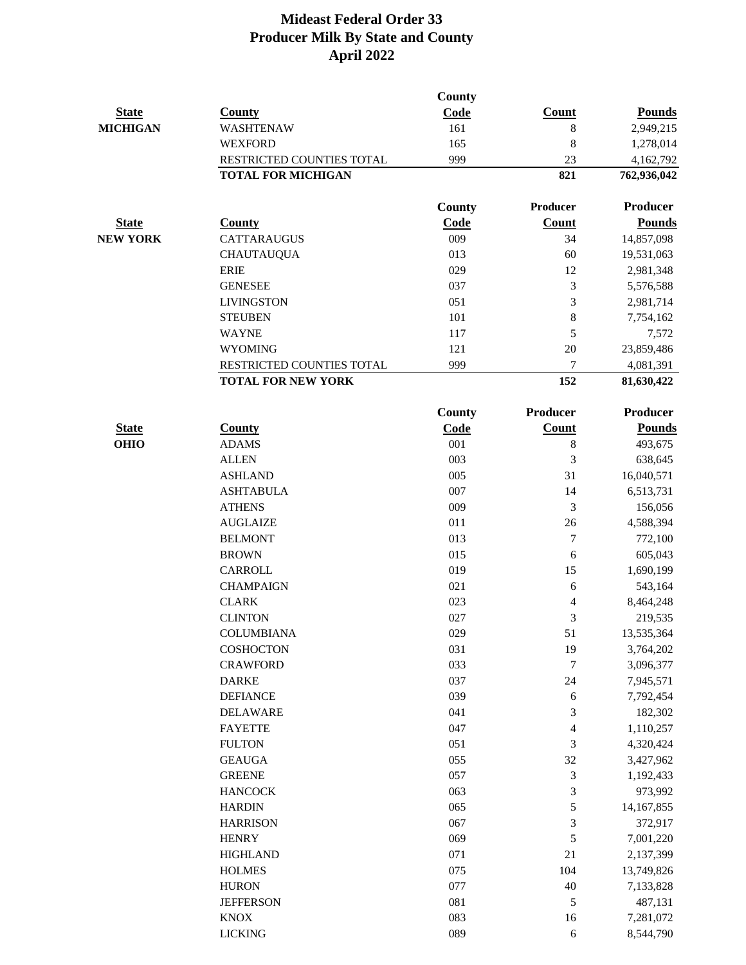|                 |                                  | <b>County</b> |                          |                       |
|-----------------|----------------------------------|---------------|--------------------------|-----------------------|
| <b>State</b>    | <b>County</b>                    | Code          | <b>Count</b>             | <b>Pounds</b>         |
| <b>MICHIGAN</b> | <b>WASHTENAW</b>                 | 161           | $8\,$                    | 2,949,215             |
|                 | <b>WEXFORD</b>                   | 165           | 8                        | 1,278,014             |
|                 | RESTRICTED COUNTIES TOTAL        | 999           | 23                       | 4,162,792             |
|                 | <b>TOTAL FOR MICHIGAN</b>        |               | 821                      | 762,936,042           |
|                 |                                  | County        | Producer                 | <b>Producer</b>       |
| <b>State</b>    | <b>County</b>                    | Code          | Count                    | <b>Pounds</b>         |
| <b>NEW YORK</b> | <b>CATTARAUGUS</b>               | 009           | 34                       | 14,857,098            |
|                 | <b>CHAUTAUQUA</b>                | 013           | 60                       | 19,531,063            |
|                 | <b>ERIE</b>                      | 029           | 12                       | 2,981,348             |
|                 | <b>GENESEE</b>                   | 037           | 3                        | 5,576,588             |
|                 | <b>LIVINGSTON</b>                | 051           | 3                        | 2,981,714             |
|                 | <b>STEUBEN</b>                   | 101           | $\,8\,$                  | 7,754,162             |
|                 | <b>WAYNE</b>                     | 117           | 5                        | 7,572                 |
|                 | <b>WYOMING</b>                   | 121           | 20                       | 23,859,486            |
|                 | RESTRICTED COUNTIES TOTAL        | 999           | 7                        | 4,081,391             |
|                 | <b>TOTAL FOR NEW YORK</b>        |               | 152                      | 81,630,422            |
|                 |                                  | <b>County</b> | <b>Producer</b>          | <b>Producer</b>       |
| <b>State</b>    | <b>County</b>                    | Code          | <b>Count</b>             | <b>Pounds</b>         |
| <b>OHIO</b>     | <b>ADAMS</b>                     | 001           | $\,8\,$                  | 493,675               |
|                 | <b>ALLEN</b>                     | 003           | 3                        | 638,645               |
|                 | <b>ASHLAND</b>                   | 005           | 31                       | 16,040,571            |
|                 | <b>ASHTABULA</b>                 | 007           | 14                       | 6,513,731             |
|                 | <b>ATHENS</b>                    | 009           | 3                        | 156,056               |
|                 | <b>AUGLAIZE</b>                  | 011           | 26                       | 4,588,394             |
|                 | <b>BELMONT</b>                   | 013           | 7                        | 772,100               |
|                 | <b>BROWN</b>                     | 015           | 6                        | 605,043               |
|                 | <b>CARROLL</b>                   | 019           | 15                       | 1,690,199             |
|                 | <b>CHAMPAIGN</b>                 | 021           | 6                        | 543,164               |
|                 | <b>CLARK</b>                     | 023           | 4                        | 8,464,248             |
|                 | <b>CLINTON</b>                   | 027           | 3                        | 219,535               |
|                 | <b>COLUMBIANA</b>                | 029           | 51                       | 13,535,364            |
|                 | COSHOCTON                        | 031           | 19                       | 3,764,202             |
|                 | <b>CRAWFORD</b>                  | 033           | 7                        | 3,096,377             |
|                 | <b>DARKE</b>                     | 037           | 24                       | 7,945,571             |
|                 | <b>DEFIANCE</b>                  | 039           | 6                        | 7,792,454             |
|                 | <b>DELAWARE</b>                  | 041           | 3                        | 182,302               |
|                 | <b>FAYETTE</b>                   | 047           | $\overline{\mathcal{L}}$ | 1,110,257             |
|                 | <b>FULTON</b>                    | 051           | 3                        | 4,320,424             |
|                 | <b>GEAUGA</b><br><b>GREENE</b>   | 055<br>057    | 32                       | 3,427,962             |
|                 | <b>HANCOCK</b>                   | 063           | 3<br>3                   | 1,192,433             |
|                 |                                  | 065           | 5                        | 973,992               |
|                 | <b>HARDIN</b><br><b>HARRISON</b> | 067           | 3                        | 14,167,855<br>372,917 |
|                 | <b>HENRY</b>                     | 069           | $\sqrt{5}$               | 7,001,220             |
|                 | <b>HIGHLAND</b>                  | 071           | 21                       | 2,137,399             |
|                 | <b>HOLMES</b>                    | 075           | 104                      | 13,749,826            |
|                 | <b>HURON</b>                     | 077           | 40                       | 7,133,828             |
|                 | <b>JEFFERSON</b>                 | 081           | 5                        | 487,131               |
|                 | <b>KNOX</b>                      | 083           | 16                       | 7,281,072             |
|                 | <b>LICKING</b>                   | 089           | 6                        | 8,544,790             |
|                 |                                  |               |                          |                       |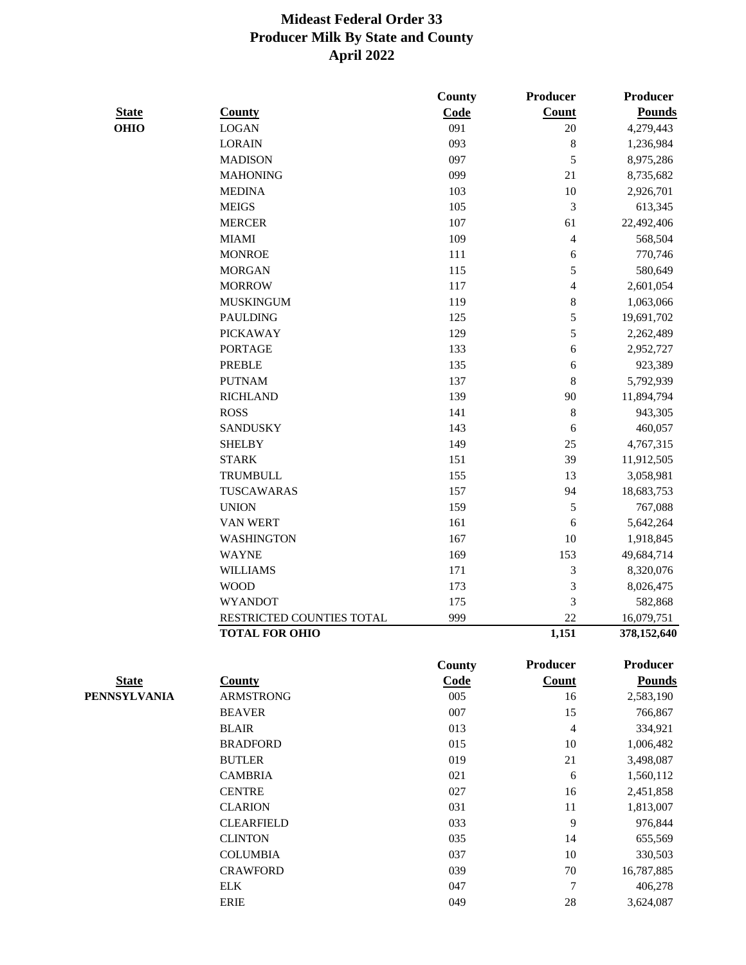|              |                           | <b>County</b> | Producer                | <b>Producer</b> |
|--------------|---------------------------|---------------|-------------------------|-----------------|
| <b>State</b> | <b>County</b>             | Code          | <b>Count</b>            | <b>Pounds</b>   |
| <b>OHIO</b>  | <b>LOGAN</b>              | 091           | 20                      | 4,279,443       |
|              | <b>LORAIN</b>             | 093           | $8\,$                   | 1,236,984       |
|              | <b>MADISON</b>            | 097           | 5                       | 8,975,286       |
|              | <b>MAHONING</b>           | 099           | 21                      | 8,735,682       |
|              | <b>MEDINA</b>             | 103           | 10                      | 2,926,701       |
|              | <b>MEIGS</b>              | 105           | $\mathfrak{Z}$          | 613,345         |
|              | <b>MERCER</b>             | 107           | 61                      | 22,492,406      |
|              | <b>MIAMI</b>              | 109           | $\overline{\mathbf{4}}$ | 568,504         |
|              | <b>MONROE</b>             | 111           | 6                       | 770,746         |
|              | <b>MORGAN</b>             | 115           | 5                       | 580,649         |
|              | <b>MORROW</b>             | 117           | $\overline{4}$          | 2,601,054       |
|              | <b>MUSKINGUM</b>          | 119           | $\,8\,$                 | 1,063,066       |
|              | <b>PAULDING</b>           | 125           | 5                       | 19,691,702      |
|              | <b>PICKAWAY</b>           | 129           | 5                       | 2,262,489       |
|              | <b>PORTAGE</b>            | 133           | 6                       | 2,952,727       |
|              | <b>PREBLE</b>             | 135           | 6                       | 923,389         |
|              | <b>PUTNAM</b>             | 137           | $\,$ 8 $\,$             | 5,792,939       |
|              | <b>RICHLAND</b>           | 139           | 90                      | 11,894,794      |
|              | <b>ROSS</b>               | 141           | $\,8\,$                 | 943,305         |
|              | <b>SANDUSKY</b>           | 143           | 6                       | 460,057         |
|              | <b>SHELBY</b>             | 149           | 25                      | 4,767,315       |
|              | <b>STARK</b>              | 151           | 39                      | 11,912,505      |
|              | TRUMBULL                  | 155           | 13                      | 3,058,981       |
|              | TUSCAWARAS                | 157           | 94                      | 18,683,753      |
|              | <b>UNION</b>              | 159           | $\sqrt{5}$              | 767,088         |
|              | <b>VAN WERT</b>           | 161           | 6                       | 5,642,264       |
|              | <b>WASHINGTON</b>         | 167           | 10                      | 1,918,845       |
|              | <b>WAYNE</b>              | 169           | 153                     | 49,684,714      |
|              | <b>WILLIAMS</b>           | 171           | 3                       | 8,320,076       |
|              | <b>WOOD</b>               | 173           | $\mathfrak{Z}$          | 8,026,475       |
|              | <b>WYANDOT</b>            | 175           | 3                       | 582,868         |
|              | RESTRICTED COUNTIES TOTAL | 999           | 22                      | 16,079,751      |
|              | <b>TOTAL FOR OHIO</b>     |               | 1,151                   | 378,152,640     |
|              |                           | <b>County</b> | <b>Producer</b>         | <b>Producer</b> |
| <b>State</b> | <b>County</b>             | Code          | Count                   | <b>Pounds</b>   |
| PENNSYLVANIA | <b>ARMSTRONG</b>          | $005\,$       | 16                      | 2,583,190       |
|              | <b>BEAVER</b>             | 007           | 15                      | 766,867         |
|              | <b>BLAIR</b>              | 013           | $\overline{4}$          | 334,921         |
|              | <b>BRADFORD</b>           | 015           | 10                      | 1,006,482       |
|              | <b>BUTLER</b>             | 019           | 21                      | 3,498,087       |
|              | <b>CAMBRIA</b>            | 021           | 6                       | 1,560,112       |
|              | <b>CENTRE</b>             | 027           | 16                      | 2,451,858       |
|              | <b>CLARION</b>            | 031           | 11                      | 1,813,007       |
|              | <b>CLEARFIELD</b>         | 033           | 9                       | 976,844         |
|              | <b>CLINTON</b>            | 035           | 14                      | 655,569         |
|              | <b>COLUMBIA</b>           | 037           | $10\,$                  | 330,503         |
|              | <b>CRAWFORD</b>           | 039           | $70\,$                  | 16,787,885      |
|              | ${\rm ELK}$               | 047           | 7                       | 406,278         |
|              | <b>ERIE</b>               | 049           | $28\,$                  | 3,624,087       |